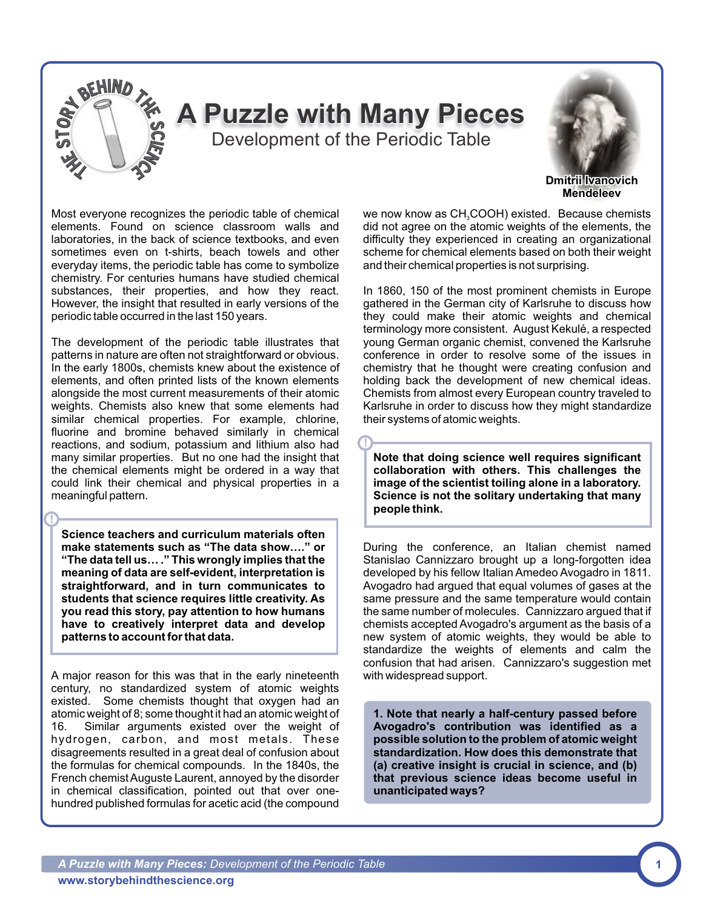

**!**

Most everyone recognizes the periodic table of chemical elements. Found on science classroom walls and laboratories, in the back of science textbooks, and even sometimes even on t-shirts, beach towels and other everyday items, the periodic table has come to symbolize chemistry. For centuries humans have studied chemical substances, their properties, and how they react. However, the insight that resulted in early versions of the periodic table occurred in the last 150 years.

The development of the periodic table illustrates that patterns in nature are often not straightforward or obvious. In the early 1800s, chemists knew about the existence of elements, and often printed lists of the known elements alongside the most current measurements of their atomic weights. Chemists also knew that some elements had similar chemical properties. For example, chlorine, fluorine and bromine behaved similarly in chemical reactions, and sodium, potassium and lithium also had many similar properties. But no one had the insight that the chemical elements might be ordered in a way that could link their chemical and physical properties in a meaningful pattern.

**Science teachers and curriculum materials often make statements such as "The data show…." or "The data tell us… ." This wrongly implies that the meaning of data are self-evident, interpretation is straightforward, and in turn communicates to students that science requires little creativity. As you read this story, pay attention to how humans have to creatively interpret data and develop patterns to account for that data.**

**!**

A major reason for this was that in the early nineteenth with widespread support. century, no standardized system of atomic weights existed. Some chemists thought that oxygen had an atomic weight of 8; some thought it had an atomic weight of 16. Similar arguments existed over the weight of hydrogen, carbon, and most metals. These disagreements resulted in a great deal of confusion about the formulas for chemical compounds. In the 1840s, the French chemist Auguste Laurent, annoyed by the disorder in chemical classification, pointed out that over onehundred published formulas for acetic acid (the compound

we now know as CH<sub>3</sub>COOH) existed. Because chemists did not agree on the atomic weights of the elements, the difficulty they experienced in creating an organizational scheme for chemical elements based on both their weight and their chemical properties is not surprising.

In 1860, 150 of the most prominent chemists in Europe gathered in the German city of Karlsruhe to discuss how they could make their atomic weights and chemical terminology more consistent. August Kekulé, a respected young German organic chemist, convened the Karlsruhe conference in order to resolve some of the issues in chemistry that he thought were creating confusion and holding back the development of new chemical ideas. Chemists from almost every European country traveled to Karlsruhe in order to discuss how they might standardize their systems of atomic weights.

**Note that doing science well requires significant collaboration with others. This challenges the image of the scientist toiling alone in a laboratory. Science is not the solitary undertaking that many people think.**

During the conference, an Italian chemist named Stanislao Cannizzaro brought up a long-forgotten idea developed by his fellow Italian Amedeo Avogadro in 1811. Avogadro had argued that equal volumes of gases at the same pressure and the same temperature would contain the same number of molecules. Cannizzaro argued that if chemists accepted Avogadro's argument as the basis of a new system of atomic weights, they would be able to standardize the weights of elements and calm the confusion that had arisen. Cannizzaro's suggestion met

**1. Note that nearly a half-century passed before Avogadro's contribution was identified as a possible solution to the problem of atomic weight standardization. How does this demonstrate that (a) creative insight is crucial in science, and (b) that previous science ideas become useful in unanticipated ways?**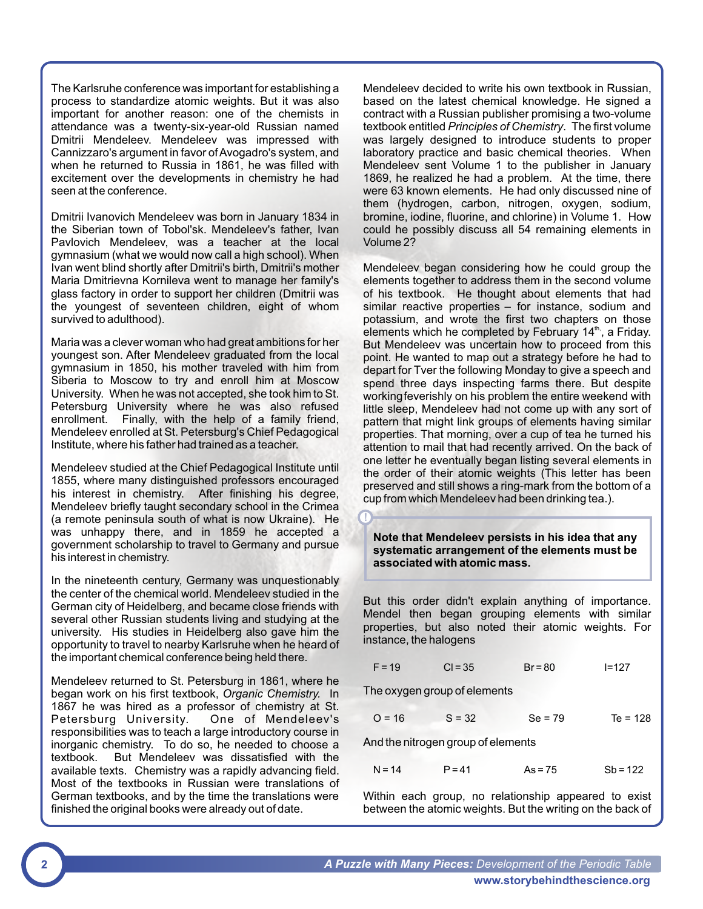The Karlsruhe conference was important for establishing a process to standardize atomic weights. But it was also important for another reason: one of the chemists in attendance was a twenty-six-year-old Russian named Dmitrii Mendeleev. Mendeleev was impressed with Cannizzaro's argument in favor of Avogadro's system, and when he returned to Russia in 1861, he was filled with excitement over the developments in chemistry he had seen at the conference.

Dmitrii Ivanovich Mendeleev was born in January 1834 in the Siberian town of Tobol'sk. Mendeleev's father, Ivan Pavlovich Mendeleev, was a teacher at the local gymnasium (what we would now call a high school). When Ivan went blind shortly after Dmitrii's birth, Dmitrii's mother Maria Dmitrievna Kornileva went to manage her family's glass factory in order to support her children (Dmitrii was the youngest of seventeen children, eight of whom survived to adulthood).

Maria was a clever woman who had great ambitions for her youngest son. After Mendeleev graduated from the local gymnasium in 1850, his mother traveled with him from Siberia to Moscow to try and enroll him at Moscow University. When he was not accepted, she took him to St. Petersburg University where he was also refused enrollment. Finally, with the help of a family friend, Mendeleev enrolled at St. Petersburg's Chief Pedagogical Institute, where his father had trained as a teacher.

Mendeleev studied at the Chief Pedagogical Institute until 1855, where many distinguished professors encouraged his interest in chemistry. After finishing his degree, Mendeleev briefly taught secondary school in the Crimea (a remote peninsula south of what is now Ukraine). He was unhappy there, and in 1859 he accepted a government scholarship to travel to Germany and pursue his interest in chemistry.

In the nineteenth century, Germany was unquestionably the center of the chemical world. Mendeleev studied in the German city of Heidelberg, and became close friends with several other Russian students living and studying at the university. His studies in Heidelberg also gave him the opportunity to travel to nearby Karlsruhe when he heard of the important chemical conference being held there.

Mendeleev returned to St. Petersburg in 1861, where he began work on his first textbook, *Organic Chemistry.* In 1867 he was hired as a professor of chemistry at St.<br>Petersburg University. One of Mendeleev's Petersburg University. responsibilities was to teach a large introductory course in inorganic chemistry. To do so, he needed to choose a textbook. But Mendeleev was dissatisfied with the available texts. Chemistry was a rapidly advancing field. Most of the textbooks in Russian were translations of German textbooks, and by the time the translations were finished the original books were already out of date.

Mendeleev decided to write his own textbook in Russian, based on the latest chemical knowledge. He signed a contract with a Russian publisher promising a two-volume textbook entitled *Principles of Chemistry*. The first volume was largely designed to introduce students to proper laboratory practice and basic chemical theories. When Mendeleev sent Volume 1 to the publisher in January 1869, he realized he had a problem. At the time, there were 63 known elements. He had only discussed nine of them (hydrogen, carbon, nitrogen, oxygen, sodium, bromine, iodine, fluorine, and chlorine) in Volume 1. How could he possibly discuss all 54 remaining elements in Volume 2?

Mendeleev began considering how he could group the elements together to address them in the second volume of his textbook. He thought about elements that had similar reactive properties – for instance, sodium and potassium, and wrote the first two chapters on those elements which he completed by February 14<sup>th</sup>, a Friday. But Mendeleev was uncertain how to proceed from this point. He wanted to map out a strategy before he had to depart for Tver the following Monday to give a speech and spend three days inspecting farms there. But despite workingfeverishly on his problem the entire weekend with little sleep, Mendeleev had not come up with any sort of pattern that might link groups of elements having similar properties. That morning, over a cup of tea he turned his attention to mail that had recently arrived. On the back of one letter he eventually began listing several elements in the order of their atomic weights (This letter has been preserved and still shows a ring-mark from the bottom of a cup from which Mendeleev had been drinking tea.).

**Note that Mendeleev persists in his idea that any systematic arrangement of the elements must be associated with atomic mass.** 

But this order didn't explain anything of importance. Mendel then began grouping elements with similar properties, but also noted their atomic weights. For instance, the halogens

|  | $F = 19$ | $Cl = 35$ | $Br = 80$ | $I = 127$ |
|--|----------|-----------|-----------|-----------|
|--|----------|-----------|-----------|-----------|

The oxygen group of elements

**!**

| $O = 16$ | $S = 32$ | $Se = 79$ | $Te = 128$ |
|----------|----------|-----------|------------|
|          |          |           |            |

And the nitrogen group of elements

| $N = 14$ | $P = 41$ | $As = 75$ | $Sb = 122$ |
|----------|----------|-----------|------------|
|          |          |           |            |

Within each group, no relationship appeared to exist between the atomic weights. But the writing on the back of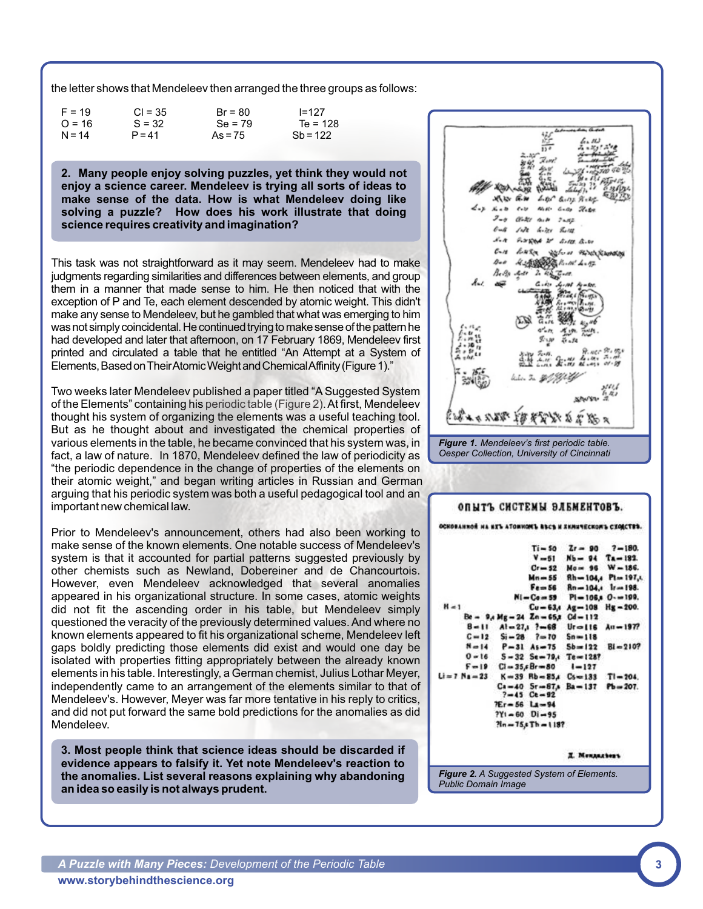the letter shows that Mendeleev then arranged the three groups as follows:

| $F = 19$ | $CI = 35$ | $Br = 80$ | $I = 127$  |
|----------|-----------|-----------|------------|
| $O = 16$ | $S = 32$  | $Se = 79$ | $Te = 128$ |
| $N = 14$ | $P = 41$  | $As = 75$ | $Sb = 122$ |

**2. Many people enjoy solving puzzles, yet think they would not enjoy a science career. Mendeleev is trying all sorts of ideas to make sense of the data. How is what Mendeleev doing like solving a puzzle? How does his work illustrate that doing science requires creativity and imagination?**

This task was not straightforward as it may seem. Mendeleev had to make judgments regarding similarities and differences between elements, and group them in a manner that made sense to him. He then noticed that with the exception of P and Te, each element descended by atomic weight. This didn't make any sense to Mendeleev, but he gambled that what was emerging to him was not simply coincidental. He continued trying to make sense of the pattern he had developed and later that afternoon, on 17 February 1869, Mendeleev first printed and circulated a table that he entitled "An Attempt at a System of Elements, Based on Their Atomic Weight and Chemical Affinity (Figure 1)."

Two weeks later Mendeleev published a paper titled "A Suggested System of the Elements" containing his periodic table (Figure 2). At first, Mendeleev thought his system of organizing the elements was a useful teaching tool. But as he thought about and investigated the chemical properties of various elements in the table, he became convinced that his system was, in fact, a law of nature. In 1870, Mendeleev defined the law of periodicity as "the periodic dependence in the change of properties of the elements on their atomic weight," and began writing articles in Russian and German arguing that his periodic system was both a useful pedagogical tool and an important new chemical law.

Prior to Mendeleev's announcement, others had also been working to make sense of the known elements. One notable success of Mendeleev's system is that it accounted for partial patterns suggested previously by other chemists such as Newland, Dobereiner and de Chancourtois. However, even Mendeleev acknowledged that several anomalies appeared in his organizational structure. In some cases, atomic weights did not fit the ascending order in his table, but Mendeleev simply questioned the veracity of the previously determined values. And where no known elements appeared to fit his organizational scheme, Mendeleev left gaps boldly predicting those elements did exist and would one day be isolated with properties fitting appropriately between the already known elements in his table. Interestingly, a German chemist, Julius Lothar Meyer, independently came to an arrangement of the elements similar to that of Mendeleev's. However, Meyer was far more tentative in his reply to critics, and did not put forward the same bold predictions for the anomalies as did Mendeleev.

**3. Most people think that science ideas should be discarded if evidence appears to falsify it. Yet note Mendeleev's reaction to the anomalies. List several reasons explaining why abandoning an idea so easily is not always prudent.**



I. Menanathean

*Figure 2. A Suggested System of Elements. Public Domain Image*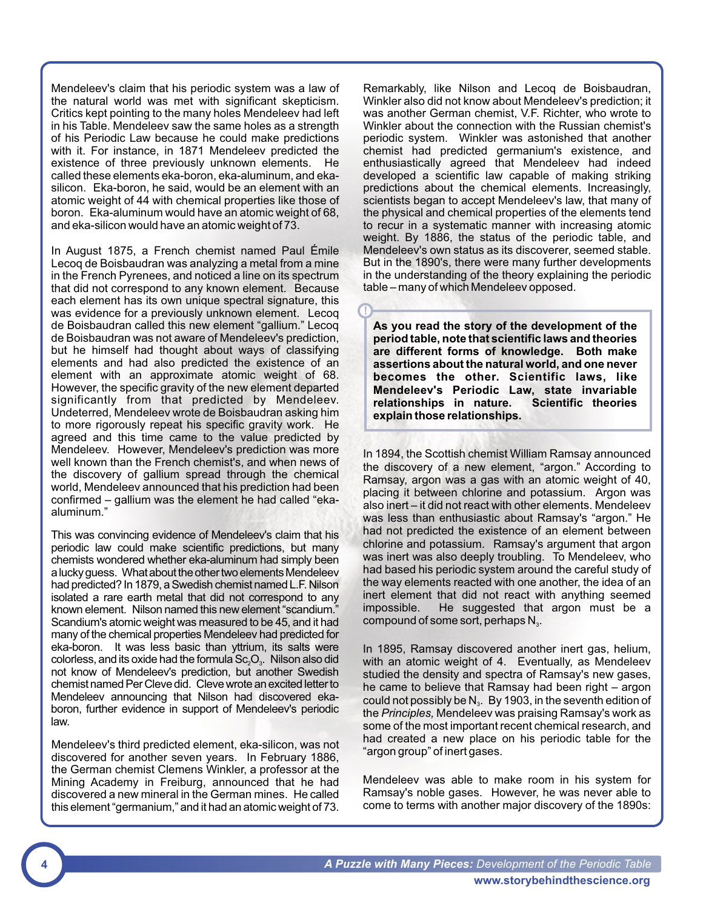Mendeleev's claim that his periodic system was a law of the natural world was met with significant skepticism. Critics kept pointing to the many holes Mendeleev had left in his Table. Mendeleev saw the same holes as a strength of his Periodic Law because he could make predictions with it. For instance, in 1871 Mendeleev predicted the existence of three previously unknown elements. He called these elements eka-boron, eka-aluminum, and ekasilicon. Eka-boron, he said, would be an element with an atomic weight of 44 with chemical properties like those of boron. Eka-aluminum would have an atomic weight of 68, and eka-silicon would have an atomic weight of 73.

In August 1875, a French chemist named Paul Émile Lecoq de Boisbaudran was analyzing a metal from a mine in the French Pyrenees, and noticed a line on its spectrum that did not correspond to any known element. Because each element has its own unique spectral signature, this was evidence for a previously unknown element. Lecoq de Boisbaudran called this new element "gallium." Lecoq de Boisbaudran was not aware of Mendeleev's prediction, but he himself had thought about ways of classifying elements and had also predicted the existence of an element with an approximate atomic weight of 68. However, the specific gravity of the new element departed significantly from that predicted by Mendeleev. Undeterred, Mendeleev wrote de Boisbaudran asking him to more rigorously repeat his specific gravity work. He agreed and this time came to the value predicted by Mendeleev. However, Mendeleev's prediction was more well known than the French chemist's, and when news of the discovery of gallium spread through the chemical world, Mendeleev announced that his prediction had been confirmed – gallium was the element he had called "ekaaluminum."

This was convincing evidence of Mendeleev's claim that his periodic law could make scientific predictions, but many chemists wondered whether eka-aluminum had simply been a lucky guess. What about the other two elements Mendeleev had predicted? In 1879, a Swedish chemist named L.F. Nilson isolated a rare earth metal that did not correspond to any known element. Nilson named this new element "scandium." Scandium's atomic weight was measured to be 45, and it had many of the chemical properties Mendeleev had predicted for eka-boron. It was less basic than yttrium, its salts were colorless, and its oxide had the formula  $Sc_2O_3$ . Nilson also did not know of Mendeleev's prediction, but another Swedish chemist named Per Cleve did. Cleve wrote an excited letter to Mendeleev announcing that Nilson had discovered ekaboron, further evidence in support of Mendeleev's periodic law.

Mendeleev's third predicted element, eka-silicon, was not discovered for another seven years. In February 1886, the German chemist Clemens Winkler, a professor at the Mining Academy in Freiburg, announced that he had discovered a new mineral in the German mines. Hecalled this element "germanium," and it had an atomic weight of 73.

Remarkably, like Nilson and Lecoq de Boisbaudran, Winkler also did not know about Mendeleev's prediction; it was another German chemist, V.F. Richter, who wrote to Winkler about the connection with the Russian chemist's periodic system. Winkler was astonished that another chemist had predicted germanium's existence, and enthusiastically agreed that Mendeleev had indeed developed a scientific law capable of making striking predictions about the chemical elements. Increasingly, scientists began to accept Mendeleev's law, that many of the physical and chemical properties of the elements tend to recur in a systematic manner with increasing atomic weight. By 1886, the status of the periodic table, and Mendeleev's own status as its discoverer, seemed stable. But in the 1890's, there were many further developments in the understanding of the theory explaining the periodic table – many of which Mendeleev opposed.

**As you read the story of the development of the period table, note that scientific laws and theories are different forms of knowledge. Both make assertions about the natural world, and one never becomes the other. Scientific laws, like Mendeleev's Periodic Law, state invariable relationships in nature. Scientific theories explain those relationships.**

**!**

In 1894, the Scottish chemist William Ramsay announced the discovery of a new element, "argon." According to Ramsay, argon was a gas with an atomic weight of 40, placing it between chlorine and potassium. Argon was also inert – it did not react with other elements. Mendeleev was less than enthusiastic about Ramsay's "argon." He had not predicted the existence of an element between chlorine and potassium. Ramsay's argument that argon was inert was also deeply troubling. To Mendeleev, who had based his periodic system around the careful study of the way elements reacted with one another, the idea of an inert element that did not react with anything seemed impossible. He suggested that argon must be a compound of some sort, perhaps  $N_{3}$ .

In 1895, Ramsay discovered another inert gas, helium, with an atomic weight of 4. Eventually, as Mendeleev studied the density and spectra of Ramsay's new gases, he came to believe that Ramsay had been right – argon could not possibly be  $N_a$ . By 1903, in the seventh edition of the *Principles,* Mendeleev was praising Ramsay's work as some of the most important recent chemical research, and had created a new place on his periodic table for the "argon group" of inert gases.

Mendeleev was able to make room in his system for Ramsay's noble gases. However, he was never able to come to terms with another major discovery of the 1890s: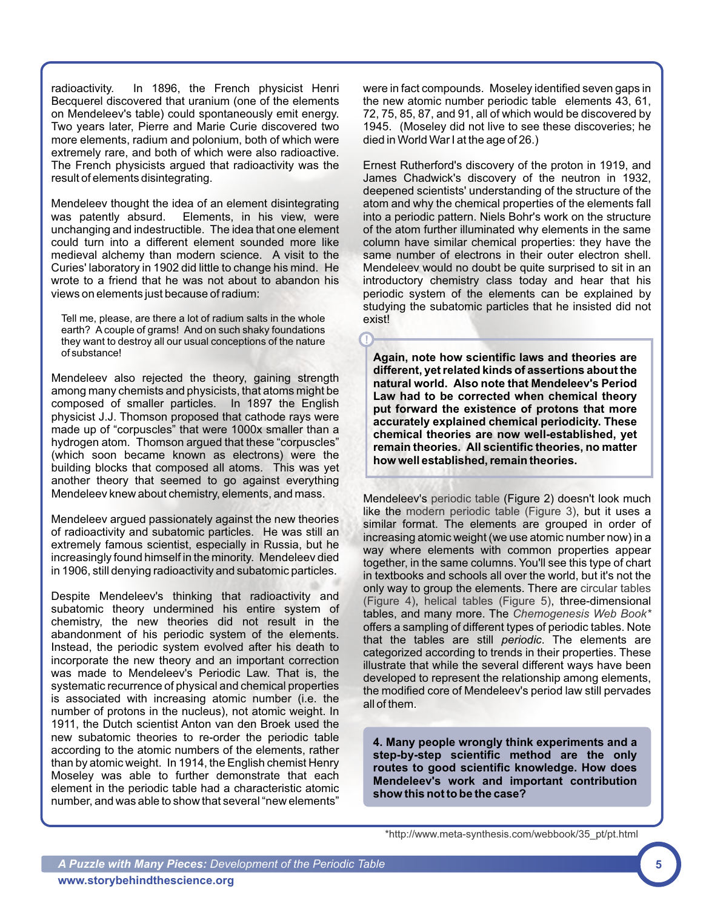radioactivity. In 1896, the French physicist Henri Becquerel discovered that uranium (one of the elements on Mendeleev's table) could spontaneously emit energy. Two years later, Pierre and Marie Curie discovered two more elements, radium and polonium, both of which were extremely rare, and both of which were also radioactive. The French physicists argued that radioactivity was the result of elements disintegrating.

Mendeleev thought the idea of an element disintegrating was patently absurd. Elements, in his view, were unchanging and indestructible. The idea that one element could turn into a different element sounded more like medieval alchemy than modern science. A visit to the Curies' laboratory in 1902 did little to change his mind. He wrote to a friend that he was not about to abandon his views on elements just because of radium:

Tell me, please, are there a lot of radium salts in the whole earth? Acouple of grams! And on such shaky foundations they want to destroy all our usual conceptions of the nature of substance!

Mendeleev also rejected the theory, gaining strength among many chemists and physicists, that atoms might be composed of smaller particles. In 1897 the English physicist J.J. Thomson proposed that cathode rays were made up of "corpuscles" that were 1000x smaller than a hydrogen atom. Thomson argued that these "corpuscles" (which soon became known as electrons) were the building blocks that composed all atoms. This was yet another theory that seemed to go against everything

Mendeleev argued passionately against the new theories of radioactivity and subatomic particles. He was still an extremely famous scientist, especially in Russia, but he increasingly found himself in the minority. Mendeleev died in 1906, still denying radioactivity and subatomic particles.

Despite Mendeleev's thinking that radioactivity and subatomic theory undermined his entire system of chemistry, the new theories did not result in the abandonment of his periodic system of the elements. Instead, the periodic system evolved after his death to incorporate the new theory and an important correction was made to Mendeleev's Periodic Law. That is, the systematic recurrence of physical and chemical properties is associated with increasing atomic number (i.e. the number of protons in the nucleus), not atomic weight. In 1911, the Dutch scientist Anton van den Broek used the new subatomic theories to re-order the periodic table according to the atomic numbers of the elements, rather than by atomic weight. In 1914, the English chemist Henry Moseley was able to further demonstrate that each element in the periodic table had a characteristic atomic number, and was able to show that several "new elements"

were in fact compounds. Moseley identified seven gaps in the new atomic number periodic table elements 43, 61, 72, 75, 85, 87, and 91, all of which would be discovered by 1945. (Moseley did not live to see these discoveries; he died in World War I at the age of 26.)

Ernest Rutherford's discovery of the proton in 1919, and James Chadwick's discovery of the neutron in 1932, deepened scientists' understanding of the structure of the atom and why the chemical properties of the elements fall into a periodic pattern. Niels Bohr's work on the structure of the atom further illuminated why elements in the same column have similar chemical properties: they have the same number of electrons in their outer electron shell. Mendeleev would no doubt be quite surprised to sit in an introductory chemistry class today and hear that his periodic system of the elements can be explained by studying the subatomic particles that he insisted did not exist!

**Again, note how scientific laws and theories are different, yet related kinds of assertions about the natural world. Also note that Mendeleev's Period Law had to be corrected when chemical theory put forward the existence of protons that more accurately explained chemical periodicity. These chemical theories are now well-established, yet remain theories. All scientific theories, no matter how well established, remain theories.**

**!**

Mendeleev knew about chemistry, elements, and mass. Mendeleev's periodic table (Figure 2) doesn't look much like the modern periodic table (Figure 3), but it uses a similar format. The elements are grouped in order of increasing atomic weight (we use atomic number now) in a way where elements with common properties appear together, in the same columns. You'll see this type of chart in textbooks and schools all over the world, but it's not the only way to group the elements. There are circular tables (Figure 4), helical tables (Figure 5), three-dimensional tables, and many more. The *Chemogenesis Web Book\** offers a sampling of different types of periodic tables. Note that the tables are still *periodic*. The elements are categorized according to trends in their properties. These illustrate that while the several different ways have been developed to represent the relationship among elements, the modified core of Mendeleev's period law still pervades all of them.

> **4. Many people wrongly think experiments and a step-by-step scientific method are the only routes to good scientific knowledge. How does Mendeleev's work and important contribution show this not to be the case?**

[\\*http://www.meta-synthesis.com/webbook/35\\_pt/pt.html](http://www.meta-synthesis.com/webbook/35_pt/pt.html)